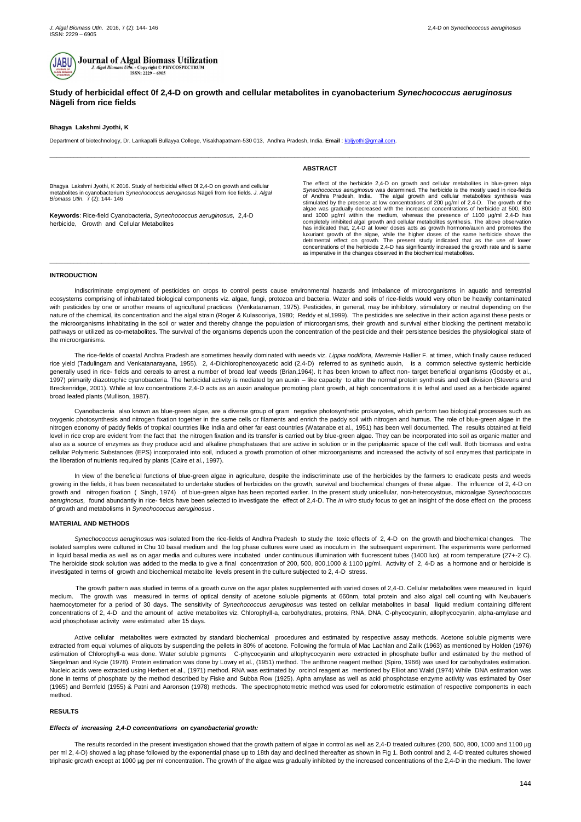



# **Study of herbicidal effect 0f 2,4-D on growth and cellular metabolites in cyanobacterium** *Synechococcus aeruginosus* **Nägeli from rice fields**

# **Bhagya Lakshmi Jyothi, K**

Department of biotechnology, Dr. Lankapalli Bullayya College, Visakhapatnam-530 013, Andhra Pradesh, India. **Email** [: kbljyothi@gmail.com.](mailto:kbljyothi@gmail.com)

**\_\_\_\_\_\_\_\_\_\_\_\_\_\_\_\_\_\_\_\_\_\_\_\_\_\_\_\_\_\_\_\_\_\_\_\_\_\_\_\_\_\_\_\_\_\_\_\_\_\_\_\_\_\_\_\_\_\_\_\_\_\_\_\_\_\_\_\_\_\_\_\_\_\_\_\_\_\_\_\_\_\_\_\_\_\_\_\_\_\_\_\_\_\_\_\_\_\_\_\_\_\_\_\_\_\_\_\_\_\_\_\_\_\_\_\_\_\_\_\_\_\_\_\_\_\_\_\_\_\_\_\_\_\_\_\_\_\_\_**

Bhagya Lakshmi Jyothi, K 2016. Study of herbicidal effect 0f 2,4-D on growth and cellular metabolites in cyanobacterium *Synechococcus aeruginosus* Nägeli from rice fields. *J. Algal Biomass Utln*. 7 (2): 144- 146

**Keywords**: Rice-field Cyanobacteria, *Synechococcus aeruginosus,* 2,4-D herbicide, Growth and Cellular Metabolites

#### **ABSTRACT**

The effect of the herbicide 2,4-D on growth and cellular metabolites in blue-green alga *Synechococcus aeruginosus* was determined. The herbicide is the mostly used in rice-fields of Andhra Pradesh, India. The algal growth and cellular metabolites synthesis was stimulated by the presence at low concentrations of 200 µg/ml of 2,4-D. The growth of the algae was gradually decreased with the increased concentrations of herbicide at 500, 800 and 1000 µg/ml within the medium, whereas the presence of 1100 µg/ml 2,4-D has completely inhibited algal growth and cellular metabolites synthesis. The above observation has indicated that, 2,4-D at lower doses acts as growth hormone/auxin and promotes the luxuriant growth of the algae, while the higher doses of the same herbicide shows the detrimental effect on growth. The present study indicated that as the use of lower concentrations of the herbicide 2,4-D has significantly increased the growth rate and is same as imperative in the changes observed in the biochemical metabolites.

**\_\_\_\_\_\_\_\_\_\_\_\_\_\_\_\_\_\_\_\_\_\_\_\_\_\_\_\_\_\_\_\_\_\_\_\_\_\_\_\_\_\_\_\_\_\_\_\_\_\_\_\_\_\_\_\_\_\_\_\_\_\_\_\_\_\_\_\_\_\_\_\_\_\_\_\_\_\_\_\_\_\_\_\_\_\_\_\_\_\_\_\_\_\_\_\_\_\_\_\_\_\_\_\_\_\_\_\_\_\_\_\_\_\_\_\_\_\_\_\_\_\_\_\_\_\_\_\_\_\_\_\_\_\_\_\_\_\_\_**

# **INTRODUCTION**

Indiscriminate employment of pesticides on crops to control pests cause environmental hazards and imbalance of microorganisms in aquatic and terrestrial ecosystems comprising of inhabitated biological components viz. algae, fungi, protozoa and bacteria. Water and soils of rice-fields would very often be heavily contaminated with pesticides by one or another means of agricultural practices (Venkataraman, 1975). Pesticides, in general, may be inhibitory, stimulatory or neutral depending on the nature of the chemical, its concentration and the algal strain (Roger & Kulasooriya, 1980; Reddy et al,1999). The pesticides are selective in their action against these pests or the microorganisms inhabitating in the soil or water and thereby change the population of microorganisms, their growth and survival either blocking the pertinent metabolic pathways or utilized as co-metabolites. The survival of the organisms depends upon the concentration of the pesticide and their persistence besides the physiological state of the microorganisms.

The rice-fields of coastal Andhra Pradesh are sometimes heavily dominated with weeds viz. *Lippia nodiflora, Merremie* Hallier F. at times, which finally cause reduced rice yield (Tadulingam and Venkatanarayana, 1955). 2, 4-Dichlorophenoxyacetic acid (2,4-D) referred to as synthetic auxin, is a common selective systemic herbicide generally used in rice- fields and cereals to arrest a number of broad leaf weeds (Brian,1964). It has been known to affect non- target beneficial organisms (Godsby et al., 1997) primarily diazotrophic cyanobacteria. The herbicidal activity is mediated by an auxin – like capacity to alter the normal protein synthesis and cell division (Stevens and Breckenridge, 2001). While at low concentrations 2,4-D acts as an auxin analogue promoting plant growth, at high concentrations it is lethal and used as a herbicide against broad leafed plants (Mullison, 1987).

Cyanobacteria also known as blue-green algae, are a diverse group of gram negative photosynthetic prokaryotes, which perform two biological processes such as oxygenic photosynthesis and nitrogen fixation together in the same cells or filaments and enrich the paddy soil with nitrogen and humus. The role of blue-green algae in the nitrogen economy of paddy fields of tropical countries like India and other far east countries (Watanabe et al., 1951) has been well documented. The results obtained at field level in rice crop are evident from the fact that the nitrogen fixation and its transfer is carried out by blue-green algae. They can be incorporated into soil as organic matter and also as a source of enzymes as they produce acid and alkaline phosphatases that are active in solution or in the periplasmic space of the cell wall. Both biomass and extra cellular Polymeric Substances (EPS) incorporated into soil, induced a growth promotion of other microorganisms and increased the activity of soil enzymes that participate in the liberation of nutrients required by plants (Caire et al., 1997).

In view of the beneficial functions of blue-green algae in agriculture, despite the indiscriminate use of the herbicides by the farmers to eradicate pests and weeds growing in the fields, it has been necessitated to undertake studies of herbicides on the growth, survival and biochemical changes of these algae. The influence of 2, 4-D on growth and nitrogen fixation ( Singh, 1974) of blue-green algae has been reported earlier. In the present study unicellular, non-heterocystous, microalgae *Synechococcus aeruginosus,* found abundantly in rice- fields have been selected to investigate the effect of 2,4-D. The *in vitro* study focus to get an insight of the dose effect on the process of growth and metabolisms in *Synechococcus aeruginosus .*

## **MATERIAL AND METHODS**

*Synechococcus aeruginosus* was isolated from the rice-fields of Andhra Pradesh to study the toxic effects of 2, 4-D on the growth and biochemical changes. The isolated samples were cultured in Chu 10 basal medium and the log phase cultures were used as inoculum in the subsequent experiment. The experiments were performed in liquid basal media as well as on agar media and cultures were incubated under continuous illumination with fluorescent tubes (1400 lux) at room temperature (27+-2 C). The herbicide stock solution was added to the media to give a final concentration of 200, 500, 800,1000 & 1100 µg/ml. Activity of 2, 4-D as a hormone and or herbicide is investigated in terms of growth and biochemical metabolite levels present in the culture subjected to 2, 4-D stress.

 The growth pattern was studied in terms of a growth curve on the agar plates supplemented with varied doses of 2,4-D. Cellular metabolites were measured in liquid medium. The growth was measured in terms of optical density of acetone soluble pigments at 660nm, total protein and also algal cell counting with Neubauer's haemocytometer for a period of 30 days. The sensitivity of *Synechococcus aeruginosus* was tested on cellular metabolites in basal liquid medium containing different concentrations of 2, 4-D and the amount of active metabolites viz. Chlorophyll-a, carbohydrates, proteins, RNA, DNA, C-phycocyanin, allophycocyanin, alpha-amylase and acid phosphotase activity were estimated after 15 days.

Active cellular metabolites were extracted by standard biochemical procedures and estimated by respective assay methods. Acetone soluble pigments were extracted from equal volumes of aliquots by suspending the pellets in 80% of acetone. Following the formula of Mac Lachlan and Zalik (1963) as mentioned by Holden (1976) estimation of Chlorophyll-a was done. Water soluble pigments C-phycocyanin and allophycocyanin were extracted in phosphate buffer and estimated by the method of Siegelman and Kycie (1978). Protein estimation was done by Lowry et al., (1951) method. The anthrone reagent method (Spiro, 1966) was used for carbohydrates estimation. Nucleic acids were extracted using Herbert et al., (1971) method. RNA was estimated by orcinol reagent as mentioned by Elliot and Wald (1974) While DNA estimation was done in terms of phosphate by the method described by Fiske and Subba Row (1925). Apha amylase as well as acid phosphotase enzyme activity was estimated by Oser (1965) and Bernfeld (1955) & Patni and Aaronson (1978) methods. The spectrophotometric method was used for colorometric estimation of respective components in each method.

### **RESULTS**

### *Effects of increasing 2,4-D concentrations on cyanobacterial growth:*

The results recorded in the present investigation showed that the growth pattern of algae in control as well as 2,4-D treated cultures (200, 500, 800, 1000 and 1100 µg per ml 2, 4-D) showed a lag phase followed by the exponential phase up to 18th day and declined thereafter as shown in Fig 1. Both control and 2, 4-D treated cultures showed triphasic growth except at 1000 µg per ml concentration. The growth of the algae was gradually inhibited by the increased concentrations of the 2,4-D in the medium. The lower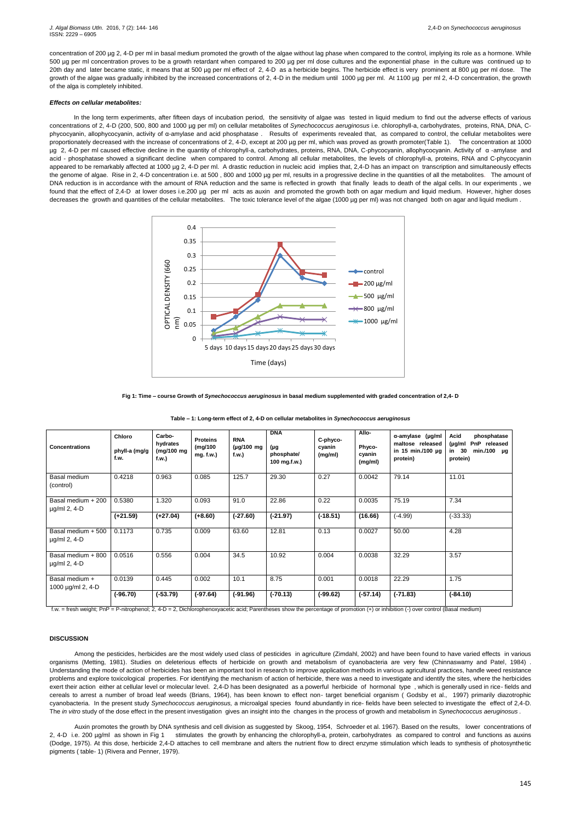In the long term experiments, after fifteen days of incubation period, the sensitivity of algae was tested in liquid medium to find out the adverse effects of various concentrations of 2, 4-D (200, 500, 800 and 1000 µg per ml) on cellular metabolites of *Synechococcus aeruginosus* i.e. chlorophyll-a, carbohydrates, proteins, RNA, DNA, Cphycocyanin, allophycocyanin, activity of α-amylase and acid phosphatase . Results of experiments revealed that, as compared to control, the cellular metabolites were proportionately decreased with the increase of concentrations of 2, 4-D, except at 200 µg per ml, which was proved as growth promoter(Table 1). The concentration at 1000 μg 2, 4-D per ml caused effective decline in the quantity of chlorophyll-a, carbohydrates, proteins, RNA, DNA, C-phycocyanin, allophycocyanin. Activity of α-amylase and acid - phosphatase showed a significant decline when compared to control. Among all cellular metabolites, the levels of chlorophyll-a, proteins, RNA and C-phycocyanin appeared to be remarkably affected at 1000 µg 2, 4-D per ml. A drastic reduction in nucleic acid implies that, 2,4-D has an impact on transcription and simultaneously effects the genome of algae. Rise in 2, 4-D concentration i.e. at 500, 800 and 1000 µg per ml, results in a progressive decline in the quantities of all the metabolites. The amount of DNA reduction is in accordance with the amount of RNA reduction and the same is reflected in growth that finally leads to death of the algal cells. In our experiments , we found that the effect of 2,4-D at lower doses i.e.200 µg per ml acts as auxin and promoted the growth both on agar medium and liquid medium. However, higher doses decreases the growth and quantities of the cellular metabolites. The toxic tolerance level of the algae (1000 µg per ml) was not changed both on agar and liquid medium.

concentration of 200 µg 2, 4-D per ml in basal medium promoted the growth of the algae without lag phase when compared to the control, implying its role as a hormone. While 500 µg per ml concentration proves to be a growth retardant when compared to 200 µg per ml dose cultures and the exponential phase in the culture was continued up to 20th day and later became static, it means that at 500 µg per ml effect of 2, 4-D as a herbicide begins. The herbicide effect is very prominent at 800 µg per ml dose. The growth of the algae was gradually inhibited by the increased concentrations of 2, 4-D in the medium until 1000 µg per ml. At 1100 µg per ml 2, 4-D concentration, the growth of the alga is completely inhibited.

# *Effects on cellular metabolites:*

### **Fig 1: Time – course Growth of** *Synechococcus aeruginosus* **in basal medium supplemented with graded concentration of 2,4- D**

**Table – 1: Long-term effect of 2, 4-D on cellular metabolites in** *Synechococcus aeruginosus*

| <b>Concentrations</b>                    | Chloro<br>phyll-a (mg/g<br>f.w. | Carbo-<br>hydrates<br>(mg/100 mg<br>f.w.) | <b>Proteins</b><br>(mg/100<br>mg. f.w.) | <b>RNA</b><br>$(\mu g/100 \text{ mg})$<br>f.w.) | <b>DNA</b><br>(µg<br>phosphate/<br>100 mg.f.w.) | C-phyco-<br>cyanin<br>(mg/ml) | Allo-<br>Phyco-<br>cyanin<br>(mg/ml) | $\alpha$ -amylase (µg/ml<br>maltose released<br>in 15 min./100 µg<br>protein) | Acid<br>phosphatase<br>(µg/ml PnP released<br>min./100 $\mu$ g<br>30<br>in<br>protein) |
|------------------------------------------|---------------------------------|-------------------------------------------|-----------------------------------------|-------------------------------------------------|-------------------------------------------------|-------------------------------|--------------------------------------|-------------------------------------------------------------------------------|----------------------------------------------------------------------------------------|
| Basal medium<br>(control)                | 0.4218                          | 0.963                                     | 0.085                                   | 125.7                                           | 29.30                                           | 0.27                          | 0.0042                               | 79.14                                                                         | 11.01                                                                                  |
| Basal medium + 200<br>$\mu$ g/ml 2, 4-D  | 0.5380                          | 1.320                                     | 0.093                                   | 91.0                                            | 22.86                                           | 0.22                          | 0.0035                               | 75.19                                                                         | 7.34                                                                                   |
|                                          | $(+21.59)$                      | $(+27.04)$                                | $(+8.60)$                               | $(-27.60)$                                      | $(-21.97)$                                      | $(-18.51)$                    | (16.66)                              | $(-4.99)$                                                                     | $(-33.33)$                                                                             |
| Basal medium + 500<br>$\mu$ g/ml 2, 4-D  | 0.1173                          | 0.735                                     | 0.009                                   | 63.60                                           | 12.81                                           | 0.13                          | 0.0027                               | 50.00                                                                         | 4.28                                                                                   |
| Basal medium + 800<br>$\mu$ g/ml 2, 4-D  | 0.0516                          | 0.556                                     | 0.004                                   | 34.5                                            | 10.92                                           | 0.004                         | 0.0038                               | 32.29                                                                         | 3.57                                                                                   |
| Basal medium +<br>1000 $\mu$ g/ml 2, 4-D | 0.0139                          | 0.445                                     | 0.002                                   | 10.1                                            | 8.75                                            | 0.001                         | 0.0018                               | 22.29                                                                         | 1.75                                                                                   |
|                                          | $(-96.70)$                      | $(-53.79)$                                | $(-97.64)$                              | $(-91.96)$                                      | $(-70.13)$                                      | $(-99.62)$                    | $(-57.14)$                           | $(-71.83)$                                                                    | $(-84.10)$                                                                             |

f.w. = fresh weight; PnP = P-nitrophenol; 2, 4-D = 2, Dichlorophenoxyacetic acid; Parentheses show the percentage of promotion (+) or inhibition (-) over control (Basal medium)

# **DISCUSSION**

Among the pesticides, herbicides are the most widely used class of pesticides in agriculture (Zimdahl, 2002) and have been found to have varied effects in various organisms (Metting, 1981). Studies on deleterious effects of herbicide on growth and metabolism of cyanobacteria are very few (Chinnaswamy and Patel, 1984) . Understanding the mode of action of herbicides has been an important tool in research to improve application methods in various agricultural practices, handle weed resistance problems and explore toxicological properties. For identifying the mechanism of action of herbicide, there was a need to investigate and identify the sites, where the herbicides exert their action either at cellular level or molecular level. 2,4-D has been designated as a powerful herbicide of hormonal type , which is generally used in rice- fields and cereals to arrest a number of broad leaf weeds (Brians, 1964), has been known to effect non- target beneficial organism ( Godsby et al., 1997) primarily diazotrophic cyanobacteria. In the present study *Synechococcus aeruginosus,* a microalgal species found abundantly in rice- fields have been selected to investigate the effect of 2,4-D. The *in vitro* study of the dose effect in the present investigation gives an insight into the changes in the process of growth and metabolism in *Synechococcus aeruginosus .*

 Auxin promotes the growth by DNA synthesis and cell division as suggested by Skoog, 1954, Schroeder et al. 1967). Based on the results, lower concentrations of 2, 4-D i.e. 200 µg/ml as shown in Fig 1 stimulates the growth by enhancing the chlorophyll-a, protein, carbohydrates as compared to control and functions as auxins (Dodge, 1975). At this dose, herbicide 2,4-D attaches to cell membrane and alters the nutrient flow to direct enzyme stimulation which leads to synthesis of photosynthetic pigments ( table- 1) (Rivera and Penner, 1979).